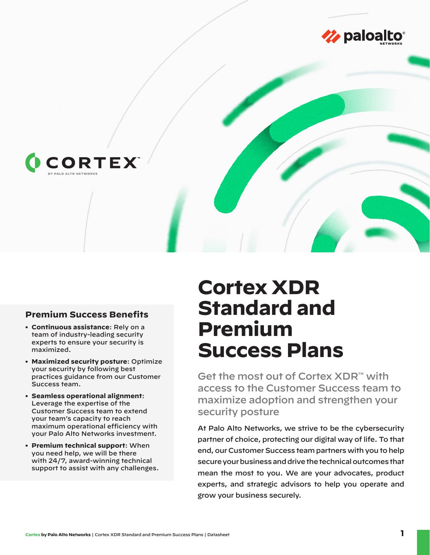



#### **Premium Success Benefits**

- **• Continuous assistance**: Rely on a team of industry-leading security experts to ensure your security is maximized.
- **• Maximized security posture**: Optimize your security by following best practices guidance from our Customer Success team.
- **• Seamless operational alignment**: Leverage the expertise of the Customer Success team to extend your team's capacity to reach maximum operational efficiency with your Palo Alto Networks investment.
- **• Premium technical support**: When you need help, we will be there with 24/7, award-winning technical support to assist with any challenges.

# **Cortex XDR Standard and Premium Success Plans**

Get the most out of Cortex XDR™ with access to the Customer Success team to maximize adoption and strengthen your security posture

At Palo Alto Networks, we strive to be the cybersecurity partner of choice, protecting our digital way of life. To that end, our Customer Success team partners with you to help secure your business and drive the technical outcomes that mean the most to you. We are your advocates, product experts, and strategic advisors to help you operate and grow your business securely.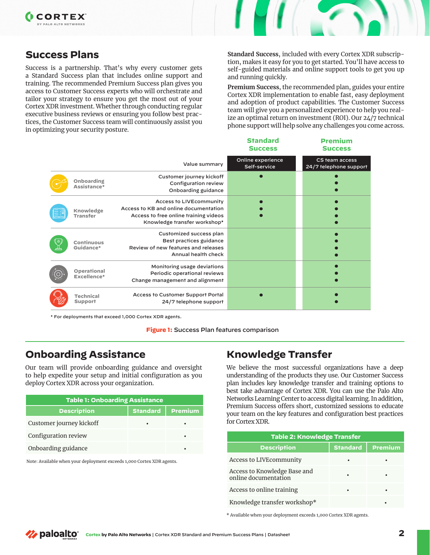## **Success Plans**

Success is a partnership. That's why every customer gets a Standard Success plan that includes online support and training. The recommended Premium Success plan gives you access to Customer Success experts who will orchestrate and tailor your strategy to ensure you get the most out of your Cortex XDR investment. Whether through conducting regular executive business reviews or ensuring you follow best practices, the Customer Success team will continuously assist you in optimizing your security posture.

**Standard Success**, included with every Cortex XDR subscription, makes it easy for you to get started. You'll have access to self-guided materials and online support tools to get you up and running quickly.

**Premium Success**, the recommended plan, guides your entire Cortex XDR implementation to enable fast, easy deployment and adoption of product capabilities. The Customer Success team will give you a personalized experience to help you realize an optimal return on investment (ROI). Our 24/7 technical phone support will help solve any challenges you come across.

**Premium**

|                                    |                                                                                                                                                  | -<br><b>Success</b>               | <b>Success</b>                           |
|------------------------------------|--------------------------------------------------------------------------------------------------------------------------------------------------|-----------------------------------|------------------------------------------|
|                                    | Value summary                                                                                                                                    | Online experience<br>Self-service | CS team access<br>24/7 telephone support |
| Onboarding<br>Assistance*          | Customer journey kickoff<br>Configuration review<br>Onboarding guidance                                                                          |                                   |                                          |
| Knowledge<br><b>Transfer</b>       | <b>Access to LIVEcommunity</b><br>Access to KB and online documentation<br>Access to free online training videos<br>Knowledge transfer workshop* |                                   |                                          |
| Continuous<br>Guidance*            | Customized success plan<br>Best practices guidance<br>Review of new features and releases<br>Annual health check                                 |                                   |                                          |
| Operational<br>Excellence*         | Monitoring usage deviations<br>Periodic operational reviews<br>Change management and alignment                                                   |                                   |                                          |
| <b>Technical</b><br><b>Support</b> | Access to Customer Support Portal<br>24/7 telephone support                                                                                      |                                   |                                          |

\* For deployments that exceed 1,000 Cortex XDR agents.

**Figure 1:** Success Plan features comparison

## **Onboarding Assistance**

Our team will provide onboarding guidance and oversight to help expedite your setup and initial configuration as you deploy Cortex XDR across your organization.

| <b>Table 1: Onboarding Assistance</b> |                 |         |  |
|---------------------------------------|-----------------|---------|--|
| <b>Description</b>                    | <b>Standard</b> | Premium |  |
| Customer journey kickoff              |                 |         |  |
| Configuration review                  |                 | ٠       |  |
| Onboarding guidance                   |                 | ٠       |  |

Note: Available when your deployment exceeds 1,000 Cortex XDR agents.

## **Knowledge Transfer**

**Standard**

We believe the most successful organizations have a deep understanding of the products they use. Our Customer Success plan includes key knowledge transfer and training options to best take advantage of Cortex XDR. You can use the Palo Alto Networks Learning Center to access digital learning. In addition, Premium Success offers short, customized sessions to educate your team on the key features and configuration best practices for Cortex XDR.

| <b>Table 2: Knowledge Transfer</b>                   |                 |                |  |
|------------------------------------------------------|-----------------|----------------|--|
| <b>Description</b>                                   | <b>Standard</b> | <b>Premium</b> |  |
| Access to LIVE community                             | ٠               |                |  |
| Access to Knowledge Base and<br>online documentation |                 |                |  |
| Access to online training                            | ٠               |                |  |
| Knowledge transfer workshop*                         |                 |                |  |

\* Available when your deployment exceeds 1,000 Cortex XDR agents.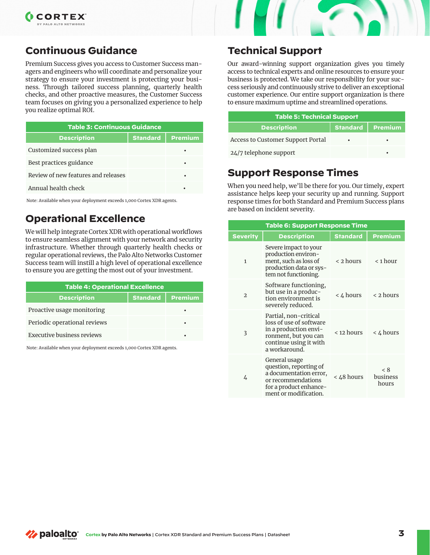



## **Continuous Guidance**

Premium Success gives you access to Customer Success managers and engineers who will coordinate and personalize your strategy to ensure your investment is protecting your business. Through tailored success planning, quarterly health checks, and other proactive measures, the Customer Success team focuses on giving you a personalized experience to help you realize optimal ROI.

| <b>Table 3: Continuous Guidance</b> |                 |                |  |
|-------------------------------------|-----------------|----------------|--|
| <b>Description</b>                  | <b>Standard</b> | <b>Premium</b> |  |
| Customized success plan             |                 |                |  |
| Best practices guidance             |                 |                |  |
| Review of new features and releases |                 |                |  |
| Annual health check                 |                 |                |  |

Note: Available when your deployment exceeds 1,000 Cortex XDR agents.

## **Operational Excellence**

We will help integrate Cortex XDR with operational workflows to ensure seamless alignment with your network and security infrastructure. Whether through quarterly health checks or regular operational reviews, the Palo Alto Networks Customer Success team will instill a high level of operational excellence to ensure you are getting the most out of your investment.

| <b>Table 4: Operational Excellence</b> |  |                    |  |
|----------------------------------------|--|--------------------|--|
| <b>Description</b>                     |  | Standard   Premium |  |
| Proactive usage monitoring             |  |                    |  |
| Periodic operational reviews           |  | ٠                  |  |
| <b>Executive business reviews</b>      |  |                    |  |

Note: Available when your deployment exceeds 1,000 Cortex XDR agents.

## **Technical Support**

Our award-winning support organization gives you timely access to technical experts and online resources to ensure your business is protected. We take our responsibility for your success seriously and continuously strive to deliver an exceptional customer experience. Our entire support organization is there to ensure maximum uptime and streamlined operations.

| <b>Table 5: Technical Support</b> |                    |  |  |
|-----------------------------------|--------------------|--|--|
| <b>Description</b>                | Standard   Premium |  |  |
| Access to Customer Support Portal | ٠                  |  |  |
| 24/7 telephone support            |                    |  |  |
|                                   |                    |  |  |

## **Support Response Times**

When you need help, we'll be there for you. Our timely, expert assistance helps keep your security up and running. Support response times for both Standard and Premium Success plans are based on incident severity.

| <b>Table 6: Support Response Time</b> |                                                                                                                                              |                 |                          |
|---------------------------------------|----------------------------------------------------------------------------------------------------------------------------------------------|-----------------|--------------------------|
| <b>Severity</b>                       | <b>Description</b>                                                                                                                           | <b>Standard</b> | <b>Premium</b>           |
| $\mathbf{1}$                          | Severe impact to your<br>production environ-<br>ment, such as loss of<br>production data or sys-<br>tem not functioning.                     | < 2 hours       | $<$ 1 hour               |
| $\mathcal{D}$                         | Software functioning,<br>but use in a produc-<br>tion environment is<br>severely reduced.                                                    | < 4 hours       | $\leq$ 2 hours           |
| 3                                     | Partial, non-critical<br>loss of use of software<br>in a production envi-<br>ronment, but you can<br>continue using it with<br>a workaround. | < 12 hours      | $<$ 4 hours              |
| 4                                     | General usage<br>question, reporting of<br>a documentation error,<br>or recommendations<br>for a product enhance-<br>ment or modification.   | < 48 hours      | < 8<br>business<br>hours |